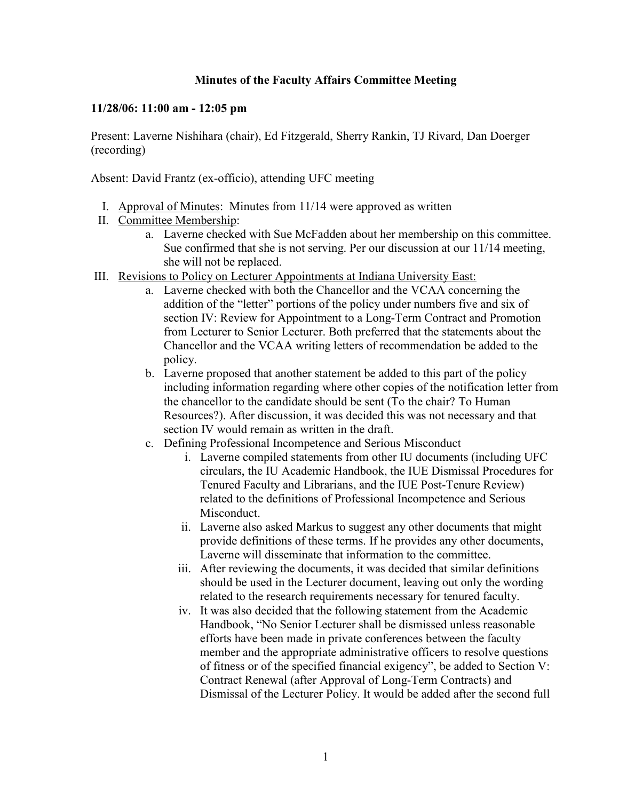## **Minutes of the Faculty Affairs Committee Meeting**

## **11/28/06: 11:00 am - 12:05 pm**

Present: Laverne Nishihara (chair), Ed Fitzgerald, Sherry Rankin, TJ Rivard, Dan Doerger (recording)

Absent: David Frantz (ex-officio), attending UFC meeting

- I. Approval of Minutes: Minutes from 11/14 were approved as written
- II. Committee Membership:
	- a. Laverne checked with Sue McFadden about her membership on this committee. Sue confirmed that she is not serving. Per our discussion at our  $11/14$  meeting, she will not be replaced.
- III. Revisions to Policy on Lecturer Appointments at Indiana University East:
	- a. Laverne checked with both the Chancellor and the VCAA concerning the addition of the "letter" portions of the policy under numbers five and six of section IV: Review for Appointment to a Long-Term Contract and Promotion from Lecturer to Senior Lecturer. Both preferred that the statements about the Chancellor and the VCAA writing letters of recommendation be added to the policy.
	- b. Laverne proposed that another statement be added to this part of the policy including information regarding where other copies of the notification letter from the chancellor to the candidate should be sent (To the chair? To Human Resources?). After discussion, it was decided this was not necessary and that section IV would remain as written in the draft.
	- c. Defining Professional Incompetence and Serious Misconduct
		- i. Laverne compiled statements from other IU documents (including UFC circulars, the IU Academic Handbook, the IUE Dismissal Procedures for Tenured Faculty and Librarians, and the IUE Post-Tenure Review) related to the definitions of Professional Incompetence and Serious Misconduct.
		- ii. Laverne also asked Markus to suggest any other documents that might provide definitions of these terms. If he provides any other documents, Laverne will disseminate that information to the committee.
		- iii. After reviewing the documents, it was decided that similar definitions should be used in the Lecturer document, leaving out only the wording related to the research requirements necessary for tenured faculty.
		- iv. It was also decided that the following statement from the Academic Handbook, "No Senior Lecturer shall be dismissed unless reasonable efforts have been made in private conferences between the faculty member and the appropriate administrative officers to resolve questions of fitness or of the specified financial exigency", be added to Section V: Contract Renewal (after Approval of Long-Term Contracts) and Dismissal of the Lecturer Policy. It would be added after the second full